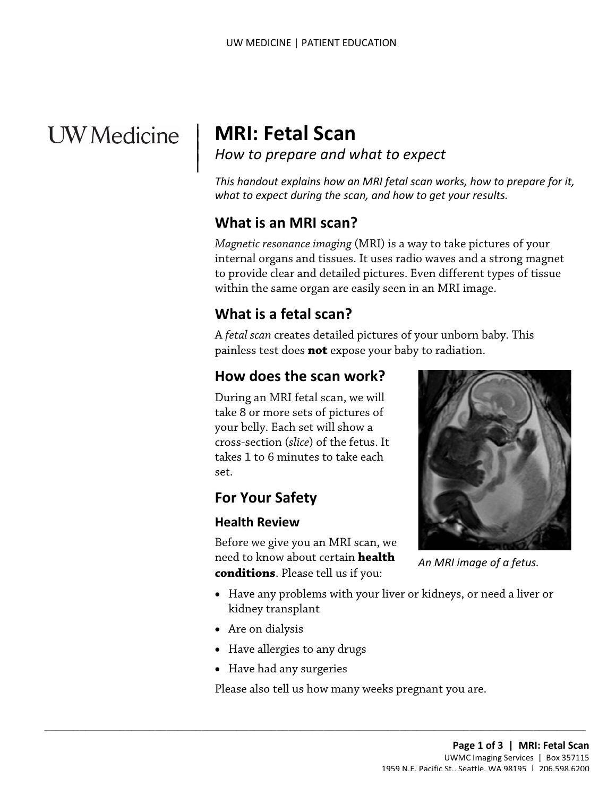# **UW** Medicine

 $\overline{\phantom{a}}$ 

## | **MRI: Fetal Scan**

<sup>|</sup>*How to prepare and what to expect* <sup>|</sup>

 *This handout explains how an MRI fetal scan works, how to prepare for it, what to expect during the scan, and how to get your results.* 

## **What is an MRI scan?**

*Magnetic resonance imaging* (MRI) is a way to take pictures of your internal organs and tissues. It uses radio waves and a strong magnet to provide clear and detailed pictures. Even different types of tissue within the same organ are easily seen in an MRI image.

## **What is a fetal scan?**

 A *fetal scan* creates detailed pictures of your unborn baby. This painless test does **not** expose your baby to radiation.

## **How does the scan work?**

 During an MRI fetal scan, we will takes 1 to 6 minutes to take each take 8 or more sets of pictures of your belly. Each set will show a cross-section (*slice*) of the fetus. It set.

## **For Your Safety**

#### **Health Review**

 **conditions**. Please tell us if you: Before we give you an MRI scan, we need to know about certain **health** 

*An MRI image of a fetus.* 

- Have any problems with your liver or kidneys, or need a liver or kidney transplant
- Are on dialysis
- Have allergies to any drugs
- Have had any surgeries

Please also tell us how many weeks pregnant you are.

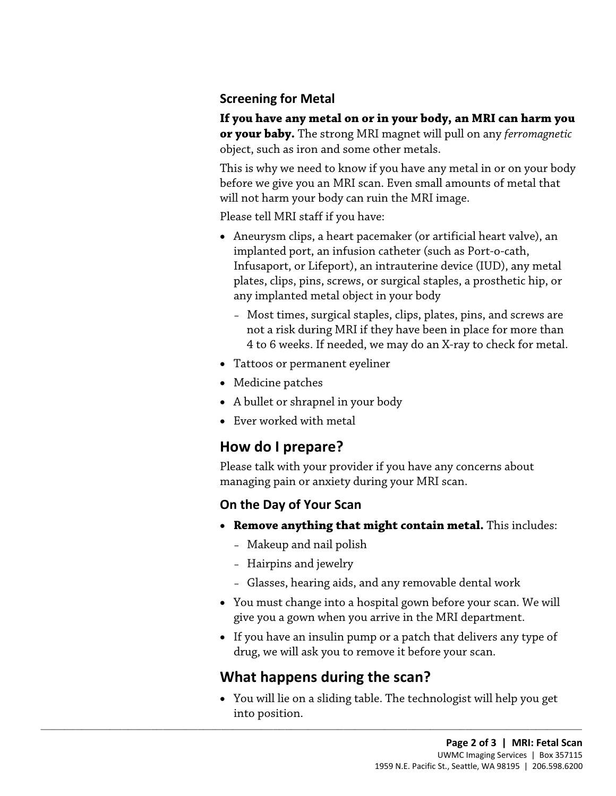#### **Screening for Metal**

**If you have any metal on or in your body, an MRI can harm you or your baby.** The strong MRI magnet will pull on any *ferromagnetic*  object, such as iron and some other metals.

 before we give you an MRI scan. Even small amounts of metal that This is why we need to know if you have any metal in or on your body will not harm your body can ruin the MRI image.

Please tell MRI staff if you have:

- any implanted metal object in your body • Aneurysm clips, a heart pacemaker (or artificial heart valve), an implanted port, an infusion catheter (such as Port-o-cath, Infusaport, or Lifeport), an intrauterine device (IUD), any metal plates, clips, pins, screws, or surgical staples, a prosthetic hip, or
	- Most times, surgical staples, clips, plates, pins, and screws are not a risk during MRI if they have been in place for more than 4 to 6 weeks. If needed, we may do an X-ray to check for metal.
- Tattoos or permanent eyeliner
- Medicine patches
- A bullet or shrapnel in your body
- Ever worked with metal

## **How do I prepare?**

Please talk with your provider if you have any concerns about managing pain or anxiety during your MRI scan.

#### **On the Day of Your Scan**

- • **Remove anything that might contain metal.** This includes:
	- Makeup and nail polish
	- Hairpins and jewelry
	- Glasses, hearing aids, and any removable dental work
- You must change into a hospital gown before your scan. We will give you a gown when you arrive in the MRI department.
- If you have an insulin pump or a patch that delivers any type of drug, we will ask you to remove it before your scan.

## **What happens during the scan?**

 $\_$  ,  $\_$  ,  $\_$  ,  $\_$  ,  $\_$  ,  $\_$  ,  $\_$  ,  $\_$  ,  $\_$  ,  $\_$  ,  $\_$  ,  $\_$  ,  $\_$  ,  $\_$  ,  $\_$  ,  $\_$  ,  $\_$  ,  $\_$  ,  $\_$  ,  $\_$  ,  $\_$  ,  $\_$  ,  $\_$  ,  $\_$  ,  $\_$  ,  $\_$  ,  $\_$  ,  $\_$  ,  $\_$  ,  $\_$  ,  $\_$  ,  $\_$  ,  $\_$  ,  $\_$  ,  $\_$  ,  $\_$  ,  $\_$  ,

• You will lie on a sliding table. The technologist will help you get into position.